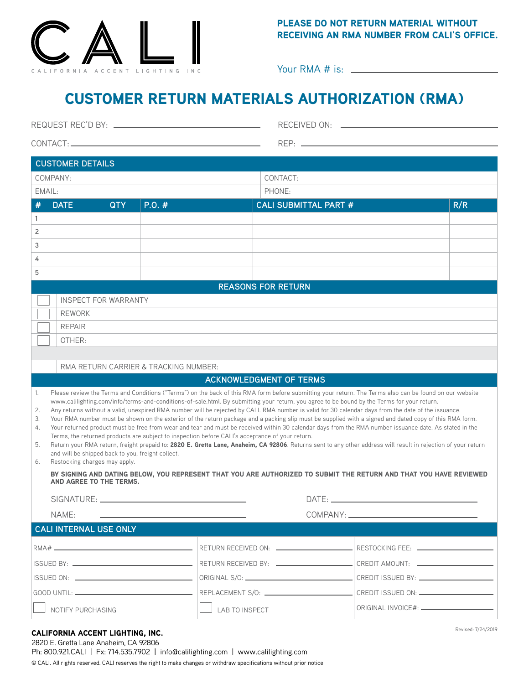

### PLEASE DO NOT RETURN MATERIAL WITHOUT RECEIVING AN RMA NUMBER FROM CALI'S OFFICE.

Your RMA # is:

# CUSTOMER RETURN MATERIALS AUTHORIZATION (RMA)

|                                                                                                                                               | <b>CUSTOMER DETAILS</b>                                                                                                                                                                                                                                                                                                                                                                                                                                                                                                                                                                                                                                                                                                                                                                                                                                                                                                                                                                                                                                                                                                                     |               |       |                              |     |                    |  |
|-----------------------------------------------------------------------------------------------------------------------------------------------|---------------------------------------------------------------------------------------------------------------------------------------------------------------------------------------------------------------------------------------------------------------------------------------------------------------------------------------------------------------------------------------------------------------------------------------------------------------------------------------------------------------------------------------------------------------------------------------------------------------------------------------------------------------------------------------------------------------------------------------------------------------------------------------------------------------------------------------------------------------------------------------------------------------------------------------------------------------------------------------------------------------------------------------------------------------------------------------------------------------------------------------------|---------------|-------|------------------------------|-----|--------------------|--|
| COMPANY:                                                                                                                                      |                                                                                                                                                                                                                                                                                                                                                                                                                                                                                                                                                                                                                                                                                                                                                                                                                                                                                                                                                                                                                                                                                                                                             |               |       | CONTACT:                     |     |                    |  |
| EMAIL:                                                                                                                                        |                                                                                                                                                                                                                                                                                                                                                                                                                                                                                                                                                                                                                                                                                                                                                                                                                                                                                                                                                                                                                                                                                                                                             |               |       | PHONE:                       |     |                    |  |
| #                                                                                                                                             | <b>DATE</b>                                                                                                                                                                                                                                                                                                                                                                                                                                                                                                                                                                                                                                                                                                                                                                                                                                                                                                                                                                                                                                                                                                                                 | <b>QTY</b>    | P.0.# | <b>CALI SUBMITTAL PART #</b> | R/R |                    |  |
| 1                                                                                                                                             |                                                                                                                                                                                                                                                                                                                                                                                                                                                                                                                                                                                                                                                                                                                                                                                                                                                                                                                                                                                                                                                                                                                                             |               |       |                              |     |                    |  |
| 2                                                                                                                                             |                                                                                                                                                                                                                                                                                                                                                                                                                                                                                                                                                                                                                                                                                                                                                                                                                                                                                                                                                                                                                                                                                                                                             |               |       |                              |     |                    |  |
| 3                                                                                                                                             |                                                                                                                                                                                                                                                                                                                                                                                                                                                                                                                                                                                                                                                                                                                                                                                                                                                                                                                                                                                                                                                                                                                                             |               |       |                              |     |                    |  |
| 4                                                                                                                                             |                                                                                                                                                                                                                                                                                                                                                                                                                                                                                                                                                                                                                                                                                                                                                                                                                                                                                                                                                                                                                                                                                                                                             |               |       |                              |     |                    |  |
| 5                                                                                                                                             |                                                                                                                                                                                                                                                                                                                                                                                                                                                                                                                                                                                                                                                                                                                                                                                                                                                                                                                                                                                                                                                                                                                                             |               |       | <b>REASONS FOR RETURN</b>    |     |                    |  |
|                                                                                                                                               | <b>INSPECT FOR WARRANTY</b>                                                                                                                                                                                                                                                                                                                                                                                                                                                                                                                                                                                                                                                                                                                                                                                                                                                                                                                                                                                                                                                                                                                 |               |       |                              |     |                    |  |
|                                                                                                                                               |                                                                                                                                                                                                                                                                                                                                                                                                                                                                                                                                                                                                                                                                                                                                                                                                                                                                                                                                                                                                                                                                                                                                             | <b>REWORK</b> |       |                              |     |                    |  |
|                                                                                                                                               | <b>REPAIR</b>                                                                                                                                                                                                                                                                                                                                                                                                                                                                                                                                                                                                                                                                                                                                                                                                                                                                                                                                                                                                                                                                                                                               |               |       |                              |     |                    |  |
|                                                                                                                                               | OTHER:                                                                                                                                                                                                                                                                                                                                                                                                                                                                                                                                                                                                                                                                                                                                                                                                                                                                                                                                                                                                                                                                                                                                      |               |       |                              |     |                    |  |
|                                                                                                                                               |                                                                                                                                                                                                                                                                                                                                                                                                                                                                                                                                                                                                                                                                                                                                                                                                                                                                                                                                                                                                                                                                                                                                             |               |       |                              |     |                    |  |
|                                                                                                                                               | RMA RETURN CARRIER & TRACKING NUMBER:                                                                                                                                                                                                                                                                                                                                                                                                                                                                                                                                                                                                                                                                                                                                                                                                                                                                                                                                                                                                                                                                                                       |               |       |                              |     |                    |  |
| <b>ACKNOWLEDGMENT OF TERMS</b>                                                                                                                |                                                                                                                                                                                                                                                                                                                                                                                                                                                                                                                                                                                                                                                                                                                                                                                                                                                                                                                                                                                                                                                                                                                                             |               |       |                              |     |                    |  |
| 1.<br>2.<br>3.<br>4.<br>5.<br>6.                                                                                                              | Please review the Terms and Conditions ("Terms") on the back of this RMA form before submitting your return. The Terms also can be found on our website<br>www.calilighting.com/info/terms-and-conditions-of-sale.html. By submitting your return, you agree to be bound by the Terms for your return.<br>Any returns without a valid, unexpired RMA number will be rejected by CALI. RMA number is valid for 30 calendar days from the date of the issuance.<br>Your RMA number must be shown on the exterior of the return package and a packing slip must be supplied with a signed and dated copy of this RMA form.<br>Your returned product must be free from wear and tear and must be received within 30 calendar days from the RMA number issuance date. As stated in the<br>Terms, the returned products are subject to inspection before CALI's acceptance of your return.<br>Return your RMA return, freight prepaid to: 2820 E. Gretta Lane, Anaheim, CA 92806. Returns sent to any other address will result in rejection of your return<br>and will be shipped back to you, freight collect.<br>Restocking charges may apply. |               |       |                              |     |                    |  |
| BY SIGNING AND DATING BELOW, YOU REPRESENT THAT YOU ARE AUTHORIZED TO SUBMIT THE RETURN AND THAT YOU HAVE REVIEWED<br>AND AGREE TO THE TERMS. |                                                                                                                                                                                                                                                                                                                                                                                                                                                                                                                                                                                                                                                                                                                                                                                                                                                                                                                                                                                                                                                                                                                                             |               |       |                              |     |                    |  |
|                                                                                                                                               | SIGNATURE: __                                                                                                                                                                                                                                                                                                                                                                                                                                                                                                                                                                                                                                                                                                                                                                                                                                                                                                                                                                                                                                                                                                                               |               |       |                              |     |                    |  |
|                                                                                                                                               | NAME:                                                                                                                                                                                                                                                                                                                                                                                                                                                                                                                                                                                                                                                                                                                                                                                                                                                                                                                                                                                                                                                                                                                                       |               |       |                              |     |                    |  |
|                                                                                                                                               | <b>CALI INTERNAL USE ONLY</b>                                                                                                                                                                                                                                                                                                                                                                                                                                                                                                                                                                                                                                                                                                                                                                                                                                                                                                                                                                                                                                                                                                               |               |       |                              |     |                    |  |
|                                                                                                                                               |                                                                                                                                                                                                                                                                                                                                                                                                                                                                                                                                                                                                                                                                                                                                                                                                                                                                                                                                                                                                                                                                                                                                             |               |       |                              |     |                    |  |
|                                                                                                                                               |                                                                                                                                                                                                                                                                                                                                                                                                                                                                                                                                                                                                                                                                                                                                                                                                                                                                                                                                                                                                                                                                                                                                             |               |       |                              |     |                    |  |
|                                                                                                                                               |                                                                                                                                                                                                                                                                                                                                                                                                                                                                                                                                                                                                                                                                                                                                                                                                                                                                                                                                                                                                                                                                                                                                             |               |       |                              |     |                    |  |
|                                                                                                                                               |                                                                                                                                                                                                                                                                                                                                                                                                                                                                                                                                                                                                                                                                                                                                                                                                                                                                                                                                                                                                                                                                                                                                             |               |       |                              |     |                    |  |
| NOTIFY PURCHASING                                                                                                                             |                                                                                                                                                                                                                                                                                                                                                                                                                                                                                                                                                                                                                                                                                                                                                                                                                                                                                                                                                                                                                                                                                                                                             |               |       | <b>LAB TO INSPECT</b>        |     |                    |  |
|                                                                                                                                               | CALIFORNIA ACCENT LIGHTING, INC.                                                                                                                                                                                                                                                                                                                                                                                                                                                                                                                                                                                                                                                                                                                                                                                                                                                                                                                                                                                                                                                                                                            |               |       |                              |     | Revised: 7/24/2019 |  |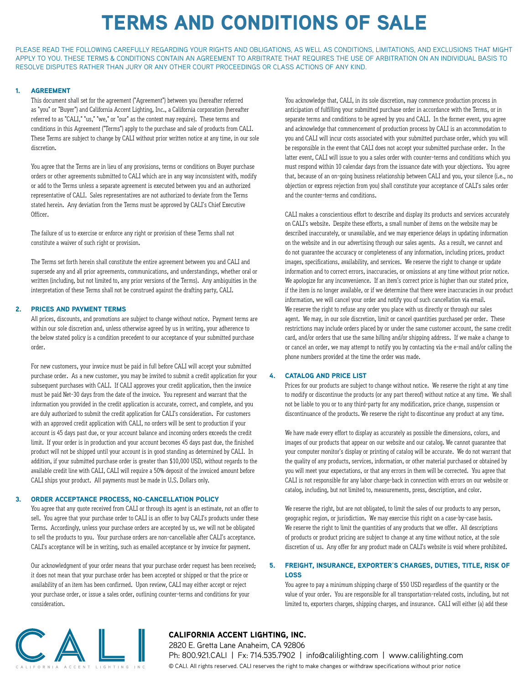# TERMS AND CONDITIONS OF SALE

PLEASE READ THE FOLLOWING CAREFULLY REGARDING YOUR RIGHTS AND OBLIGATIONS, AS WELL AS CONDITIONS, LIMITATIONS, AND EXCLUSIONS THAT MIGHT APPLY TO YOU. THESE TERMS & CONDITIONS CONTAIN AN AGREEMENT TO ARBITRATE THAT REQUIRES THE USE OF ARBITRATION ON AN INDIVIDUAL BASIS TO RESOLVE DISPUTES RATHER THAN JURY OR ANY OTHER COURT PROCEEDINGS OR CLASS ACTIONS OF ANY KIND.

#### 1. AGREEMENT

This document shall set for the agreement ("Agreement") between you (hereafter referred as "you" or "Buyer") and California Accent Lighting, Inc., a California corporation (hereafter referred to as "CALI," "us," "we," or "our" as the context may require). These terms and conditions in this Agreement ("Terms") apply to the purchase and sale of products from CALI. These Terms are subject to change by CALI without prior written notice at any time, in our sole discretion.

You agree that the Terms are in lieu of any provisions, terms or conditions on Buyer purchase orders or other agreements submitted to CALI which are in any way inconsistent with, modify or add to the Terms unless a separate agreement is executed between you and an authorized representative of CALI. Sales representatives are not authorized to deviate from the Terms stated herein. Any deviation from the Terms must be approved by CALI's Chief Executive Officer.

The failure of us to exercise or enforce any right or provision of these Terms shall not constitute a waiver of such right or provision.

The Terms set forth herein shall constitute the entire agreement between you and CALI and supersede any and all prior agreements, communications, and understandings, whether oral or written (including, but not limited to, any prior versions of the Terms). Any ambiguities in the interpretation of these Terms shall not be construed against the drafting party, CALI.

#### 2. PRICES AND PAYMENT TERMS

All prices, discounts, and promotions are subject to change without notice. Payment terms are within our sole discretion and, unless otherwise agreed by us in writing, your adherence to the below stated policy is a condition precedent to our acceptance of your submitted purchase order.

For new customers, your invoice must be paid in full before CALI will accept your submitted purchase order. As a new customer, you may be invited to submit a credit application for your subsequent purchases with CALI. If CALI approves your credit application, then the invoice must be paid Net-30 days from the date of the invoice. You represent and warrant that the information you provided in the credit application is accurate, correct, and complete, and you are duly authorized to submit the credit application for CALI's consideration. For customers with an approved credit application with CALI, no orders will be sent to production if your account is 45 days past due, or your account balance and incoming orders exceeds the credit limit. If your order is in production and your account becomes 45 days past due, the finished product will not be shipped until your account is in good standing as determined by CALI. In addition, if your submitted purchase order is greater than \$10,000 USD, without regards to the available credit line with CALI, CALI will require a 50% deposit of the invoiced amount before CALI ships your product. All payments must be made in U.S. Dollars only.

#### 3. ORDER ACCEPTANCE PROCESS, NO-CANCELLATION POLICY

You agree that any quote received from CALI or through its agent is an estimate, not an offer to sell. You agree that your purchase order to CALI is an offer to buy CALI's products under these Terms. Accordingly, unless your purchase orders are accepted by us, we will not be obligated to sell the products to you. Your purchase orders are non-cancellable after CALI's acceptance. CALI's acceptance will be in writing, such as emailed acceptance or by invoice for payment.

Our acknowledgment of your order means that your purchase order request has been received; it does not mean that your purchase order has been accepted or shipped or that the price or availability of an item has been confirmed. Upon review, CALI may either accept or reject your purchase order, or issue a sales order, outlining counter-terms and conditions for your consideration.

You acknowledge that, CALI, in its sole discretion, may commence production process in anticipation of fulfilling your submitted purchase order in accordance with the Terms, or in separate terms and conditions to be agreed by you and CALI. In the former event, you agree and acknowledge that commencement of production process by CALI is an accommodation to you and CALI will incur costs associated with your submitted purchase order, which you will be responsible in the event that CALI does not accept your submitted purchase order. In the latter event, CALI will issue to you a sales order with counter-terms and conditions which you must respond within 10 calendar days from the issuance date with your objections. You agree that, because of an on-going business relationship between CALI and you, your silence (i.e., no objection or express rejection from you) shall constitute your acceptance of CALI's sales order and the counter-terms and conditions.

CALI makes a conscientious effort to describe and display its products and services accurately on CALI's website. Despite these efforts, a small number of items on the website may be described inaccurately, or unavailable, and we may experience delays in updating information on the website and in our advertising through our sales agents. As a result, we cannot and do not guarantee the accuracy or completeness of any information, including prices, product images, specifications, availability, and services. We reserve the right to change or update information and to correct errors, inaccuracies, or omissions at any time without prior notice. We apologize for any inconvenience. If an item's correct price is higher than our stated price, if the item is no longer available, or if we determine that there were inaccuracies in our product information, we will cancel your order and notify you of such cancellation via email. We reserve the right to refuse any order you place with us directly or through our sales agent. We may, in our sole discretion, limit or cancel quantities purchased per order. These restrictions may include orders placed by or under the same customer account, the same credit card, and/or orders that use the same billing and/or shipping address. If we make a change to or cancel an order, we may attempt to notify you by contacting via the e-mail and/or calling the phone numbers provided at the time the order was made.

#### 4. CATALOG AND PRICE LIST

Prices for our products are subject to change without notice. We reserve the right at any time to modify or discontinue the products (or any part thereof) without notice at any time. We shall not be liable to you or to any third-party for any modification, price change, suspension or discontinuance of the products. We reserve the right to discontinue any product at any time.

We have made every effort to display as accurately as possible the dimensions, colors, and images of our products that appear on our website and our catalog. We cannot guarantee that your computer monitor's display or printing of catalog will be accurate. We do not warrant that the quality of any products, services, information, or other material purchased or obtained by you will meet your expectations, or that any errors in them will be corrected. You agree that CALI is not responsible for any labor charge-back in connection with errors on our website or catalog, including, but not limited to, measurements, press, description, and color.

We reserve the right, but are not obligated, to limit the sales of our products to any person, geographic region, or jurisdiction. We may exercise this right on a case-by-case basis. We reserve the right to limit the quantities of any products that we offer. All descriptions of products or product pricing are subject to change at any time without notice, at the sole discretion of us. Any offer for any product made on CALI's website is void where prohibited.

#### 5. FREIGHT, INSURANCE, EXPORTER'S CHARGES, DUTIES, TITLE, RISK OF LOSS

You agree to pay a minimum shipping charge of \$50 USD regardless of the quantity or the value of your order. You are responsible for all transportation-related costs, including, but not limited to, exporters charges, shipping charges, and insurance. CALI will either (a) add these



### CALIFORNIA ACCENT LIGHTING, INC.

2820 E. Gretta Lane Anaheim, CA 92806

Ph: 800.921.CALI | Fx: 714.535.7902 | info@calilighting.com | www.calilighting.com © CALI. All rights reserved. CALI reserves the right to make changes or withdraw specifications without prior notice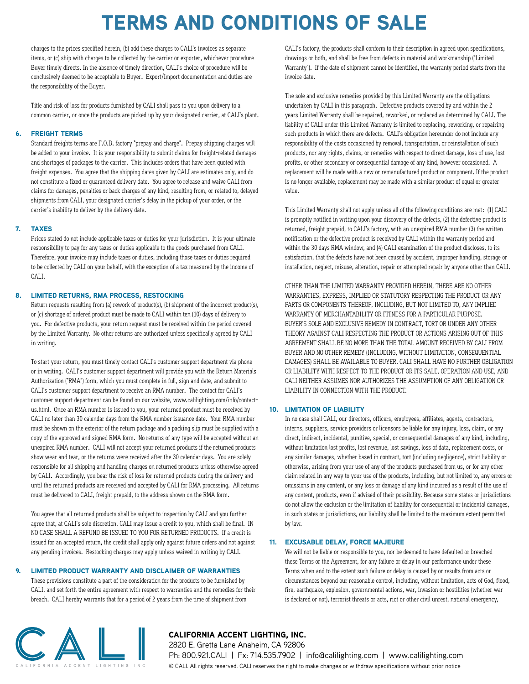# TERMS AND CONDITIONS OF SALE

charges to the prices specified herein, (b) add these charges to CALI's invoices as separate items, or (c) ship with charges to be collected by the carrier or exporter, whichever procedure Buyer timely directs. In the absence of timely direction, CALI's choice of procedure will be conclusively deemed to be acceptable to Buyer. Export/Import documentation and duties are the responsibility of the Buyer.

Title and risk of loss for products furnished by CALI shall pass to you upon delivery to a common carrier, or once the products are picked up by your designated carrier, at CALI's plant.

#### 6. FREIGHT TERMS

Standard freights terms are F.O.B. factory "prepay and charge". Prepay shipping charges will be added to your invoice. It is your responsibility to submit claims for freight-related damages and shortages of packages to the carrier. This includes orders that have been quoted with freight expenses. You agree that the shipping dates given by CALI are estimates only, and do not constitute a fixed or guaranteed delivery date. You agree to release and waive CALI from claims for damages, penalties or back charges of any kind, resulting from, or related to, delayed shipments from CALI, your designated carrier's delay in the pickup of your order, or the carrier's inability to deliver by the delivery date.

#### 7. TAXES

Prices stated do not include applicable taxes or duties for your jurisdiction. It is your ultimate responsibility to pay for any taxes or duties applicable to the goods purchased from CALI. Therefore, your invoice may include taxes or duties, including those taxes or duties required to be collected by CALI on your behalf, with the exception of a tax measured by the income of CALI.

#### 8. LIMITED RETURNS, RMA PROCESS, RESTOCKING

Return requests resulting from (a) rework of product(s), (b) shipment of the incorrect product(s), or (c) shortage of ordered product must be made to CALI within ten (10) days of delivery to you. For defective products, your return request must be received within the period covered by the Limited Warranty. No other returns are authorized unless specifically agreed by CALI in writing.

To start your return, you must timely contact CALI's customer support department via phone or in writing. CALI's customer support department will provide you with the Return Materials Authorization ("RMA") form, which you must complete in full, sign and date, and submit to CALI's customer support department to receive an RMA number. The contact for CALI's customer support department can be found on our website, www.calilighting.com/info/contactus.html. Once an RMA number is issued to you, your returned product must be received by CALI no later than 30 calendar days from the RMA number issuance date. Your RMA number must be shown on the exterior of the return package and a packing slip must be supplied with a copy of the approved and signed RMA form. No returns of any type will be accepted without an unexpired RMA number. CALI will not accept your returned products if the returned products show wear and tear, or the returns were received after the 30 calendar days. You are solely responsible for all shipping and handling charges on returned products unless otherwise agreed by CALI. Accordingly, you bear the risk of loss for returned products during the delivery and until the returned products are received and accepted by CALI for RMA processing. All returns must be delivered to CALI, freight prepaid, to the address shown on the RMA form.

You agree that all returned products shall be subject to inspection by CALI and you further agree that, at CALI's sole discretion, CALI may issue a credit to you, which shall be final. IN NO CASE SHALL A REFUND BE ISSUED TO YOU FOR RETURNED PRODUCTS. If a credit is issued for an accepted return, the credit shall apply only against future orders and not against any pending invoices. Restocking charges may apply unless waived in writing by CALI.

#### 9. LIMITED PRODUCT WARRANTY AND DISCLAIMER OF WARRANTIES

These provisions constitute a part of the consideration for the products to be furnished by CALI, and set forth the entire agreement with respect to warranties and the remedies for their breach. CALI hereby warrants that for a period of 2 years from the time of shipment from

CALI's factory, the products shall conform to their description in agreed upon specifications, drawings or both, and shall be free from defects in material and workmanship ("Limited Warranty"). If the date of shipment cannot be identified, the warranty period starts from the invoice date.

The sole and exclusive remedies provided by this Limited Warranty are the obligations undertaken by CALI in this paragraph. Defective products covered by and within the 2 years Limited Warranty shall be repaired, reworked, or replaced as determined by CALI. The liability of CALI under this Limited Warranty is limited to replacing, reworking, or repairing such products in which there are defects. CALI's obligation hereunder do not include any responsibility of the costs occasioned by removal, transportation, or reinstallation of such products, nor any rights, claims, or remedies with respect to direct damage, loss of use, lost profits, or other secondary or consequential damage of any kind, however occasioned. A replacement will be made with a new or remanufactured product or component. If the product is no longer available, replacement may be made with a similar product of equal or greater value.

This Limited Warranty shall not apply unless all of the following conditions are met: (1) CALI is promptly notified in writing upon your discovery of the defects, (2) the defective product is returned, freight prepaid, to CALI's factory, with an unexpired RMA number (3) the written notification or the defective product is received by CALI within the warranty period and within the 30 days RMA window, and (4) CALI examination of the product discloses, to its satisfaction, that the defects have not been caused by accident, improper handling, storage or installation, neglect, misuse, alteration, repair or attempted repair by anyone other than CALI.

OTHER THAN THE LIMITED WARRANTY PROVIDED HEREIN, THERE ARE NO OTHER WARRANTIES, EXPRESS, IMPLIED OR STATUTORY RESPECTING THE PRODUCT OR ANY PARTS OR COMPONENTS THEREOF, INCLUDING, BUT NOT LIMITED TO, ANY IMPLIED WARRANTY OF MERCHANTABILITY OR FITNESS FOR A PARTICULAR PURPOSE. BUYER'S SOLE AND EXCLUSIVE REMEDY IN CONTRACT, TORT OR UNDER ANY OTHER THEORY AGAINST CALI RESPECTING THE PRODUCT OR ACTIONS ARISING OUT OF THIS AGREEMENT SHALL BE NO MORE THAN THE TOTAL AMOUNT RECEIVED BY CALI FROM BUYER AND NO OTHER REMEDY (INCLUDING, WITHOUT LIMITATION, CONSEQUENTIAL DAMAGES) SHALL BE AVAILABLE TO BUYER. CALI SHALL HAVE NO FURTHER OBLIGATION OR LIABILITY WITH RESPECT TO THE PRODUCT OR ITS SALE, OPERATION AND USE, AND CALI NEITHER ASSUMES NOR AUTHORIZES THE ASSUMPTION OF ANY OBLIGATION OR LIABILITY IN CONNECTION WITH THE PRODUCT.

#### 10. LIMITATION OF LIABILITY

In no case shall CALI, our directors, officers, employees, affiliates, agents, contractors, interns, suppliers, service providers or licensors be liable for any injury, loss, claim, or any direct, indirect, incidental, punitive, special, or consequential damages of any kind, including, without limitation lost profits, lost revenue, lost savings, loss of data, replacement costs, or any similar damages, whether based in contract, tort (including negligence), strict liability or otherwise, arising from your use of any of the products purchased from us, or for any other claim related in any way to your use of the products, including, but not limited to, any errors or omissions in any content, or any loss or damage of any kind incurred as a result of the use of any content, products, even if advised of their possibility. Because some states or jurisdictions do not allow the exclusion or the limitation of liability for consequential or incidental damages, in such states or jurisdictions, our liability shall be limited to the maximum extent permitted by law.

#### 11. EXCUSABLE DELAY, FORCE MAJEURE

We will not be liable or responsible to you, nor be deemed to have defaulted or breached these Terms or the Agreement, for any failure or delay in our performance under these Terms when and to the extent such failure or delay is caused by or results from acts or circumstances beyond our reasonable control, including, without limitation, acts of God, flood, fire, earthquake, explosion, governmental actions, war, invasion or hostilities (whether war is declared or not), terrorist threats or acts, riot or other civil unrest, national emergency,



### CALIFORNIA ACCENT LIGHTING, INC.

2820 E. Gretta Lane Anaheim, CA 92806

Ph: 800.921.CALI | Fx: 714.535.7902 | info@calilighting.com | www.calilighting.com © CALI. All rights reserved. CALI reserves the right to make changes or withdraw specifications without prior notice